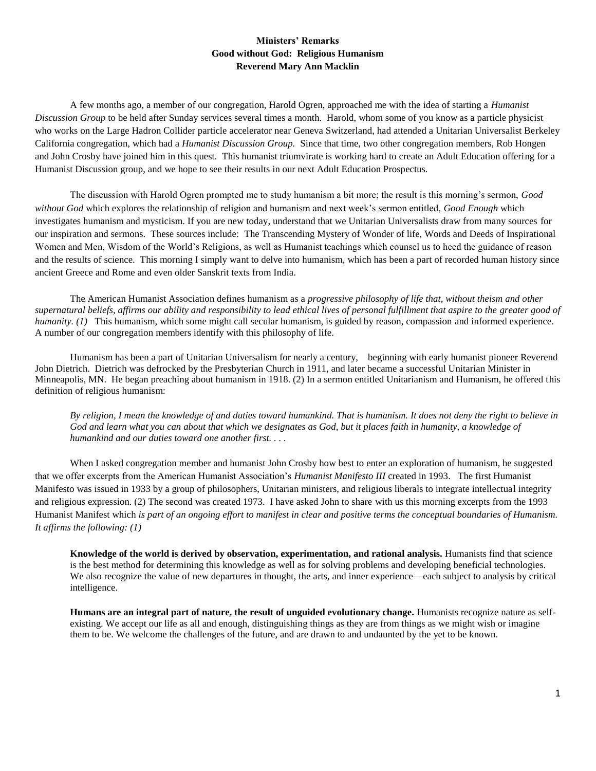## **Ministers' Remarks Good without God: Religious Humanism Reverend Mary Ann Macklin**

A few months ago, a member of our congregation, Harold Ogren, approached me with the idea of starting a *Humanist Discussion Group* to be held after Sunday services several times a month. Harold, whom some of you know as a particle physicist who works on the Large Hadron Collider particle accelerator near Geneva Switzerland, had attended a Unitarian Universalist Berkeley California congregation, which had a *Humanist Discussion Group.* Since that time, two other congregation members, Rob Hongen and John Crosby have joined him in this quest. This humanist triumvirate is working hard to create an Adult Education offering for a Humanist Discussion group, and we hope to see their results in our next Adult Education Prospectus.

The discussion with Harold Ogren prompted me to study humanism a bit more; the result is this morning's sermon, *Good without God* which explores the relationship of religion and humanism and next week's sermon entitled, *Good Enough* which investigates humanism and mysticism. If you are new today, understand that we Unitarian Universalists draw from many sources for our inspiration and sermons. These sources include: The Transcending Mystery of Wonder of life, Words and Deeds of Inspirational Women and Men, Wisdom of the World's Religions, as well as Humanist teachings which counsel us to heed the guidance of reason and the results of science. This morning I simply want to delve into humanism, which has been a part of recorded human history since ancient Greece and Rome and even older Sanskrit texts from India.

The American Humanist Association defines humanism as a *progressive philosophy of life that, without theism and other supernatural beliefs, affirms our ability and responsibility to lead ethical lives of personal fulfillment that aspire to the greater good of humanity. (1)* This humanism, which some might call secular humanism, is guided by reason, compassion and informed experience. A number of our congregation members identify with this philosophy of life.

Humanism has been a part of Unitarian Universalism for nearly a century, beginning with early humanist pioneer Reverend John Dietrich. Dietrich was defrocked by the Presbyterian Church in 1911, and later became a successful Unitarian Minister in Minneapolis, MN. He began preaching about humanism in 1918. (2) In a sermon entitled Unitarianism and Humanism, he offered this definition of religious humanism:

*By religion, I mean the knowledge of and duties toward humankind. That is humanism. It does not deny the right to believe in God and learn what you can about that which we designates as God, but it places faith in humanity, a knowledge of humankind and our duties toward one another first. . . .* 

When I asked congregation member and humanist John Crosby how best to enter an exploration of humanism, he suggested that we offer excerpts from the American Humanist Association's *Humanist Manifesto III* created in 1993. The first Humanist Manifesto was issued in 1933 by a group of philosophers, Unitarian ministers, and religious liberals to integrate intellectual integrity and religious expression. (2) The second was created 1973. I have asked John to share with us this morning excerpts from the 1993 Humanist Manifest which *is part of an ongoing effort to manifest in clear and positive terms the conceptual boundaries of Humanism. It affirms the following: (1)*

**Knowledge of the world is derived by observation, experimentation, and rational analysis.** Humanists find that science is the best method for determining this knowledge as well as for solving problems and developing beneficial technologies. We also recognize the value of new departures in thought, the arts, and inner experience—each subject to analysis by critical intelligence.

**Humans are an integral part of nature, the result of unguided evolutionary change.** Humanists recognize nature as selfexisting. We accept our life as all and enough, distinguishing things as they are from things as we might wish or imagine them to be. We welcome the challenges of the future, and are drawn to and undaunted by the yet to be known.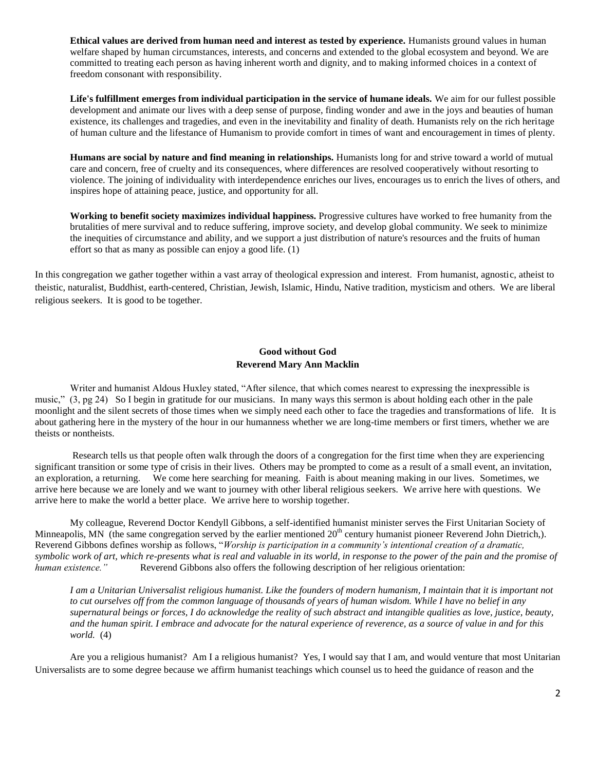**Ethical values are derived from human need and interest as tested by experience.** Humanists ground values in human welfare shaped by human circumstances, interests, and concerns and extended to the global ecosystem and beyond. We are committed to treating each person as having inherent worth and dignity, and to making informed choices in a context of freedom consonant with responsibility.

**Life's fulfillment emerges from individual participation in the service of humane ideals.** We aim for our fullest possible development and animate our lives with a deep sense of purpose, finding wonder and awe in the joys and beauties of human existence, its challenges and tragedies, and even in the inevitability and finality of death. Humanists rely on the rich heritage of human culture and the lifestance of Humanism to provide comfort in times of want and encouragement in times of plenty.

**Humans are social by nature and find meaning in relationships.** Humanists long for and strive toward a world of mutual care and concern, free of cruelty and its consequences, where differences are resolved cooperatively without resorting to violence. The joining of individuality with interdependence enriches our lives, encourages us to enrich the lives of others, and inspires hope of attaining peace, justice, and opportunity for all.

**Working to benefit society maximizes individual happiness.** Progressive cultures have worked to free humanity from the brutalities of mere survival and to reduce suffering, improve society, and develop global community. We seek to minimize the inequities of circumstance and ability, and we support a just distribution of nature's resources and the fruits of human effort so that as many as possible can enjoy a good life. (1)

In this congregation we gather together within a vast array of theological expression and interest. From humanist, agnostic, atheist to theistic, naturalist, Buddhist, earth-centered, Christian, Jewish, Islamic, Hindu, Native tradition, mysticism and others. We are liberal religious seekers. It is good to be together.

## **Good without God Reverend Mary Ann Macklin**

Writer and humanist Aldous Huxley stated, "After silence, that which comes nearest to expressing the inexpressible is music," (3, pg 24) So I begin in gratitude for our musicians. In many ways this sermon is about holding each other in the pale moonlight and the silent secrets of those times when we simply need each other to face the tragedies and transformations of life. It is about gathering here in the mystery of the hour in our humanness whether we are long-time members or first timers, whether we are theists or nontheists.

Research tells us that people often walk through the doors of a congregation for the first time when they are experiencing significant transition or some type of crisis in their lives. Others may be prompted to come as a result of a small event, an invitation, an exploration, a returning. We come here searching for meaning. Faith is about meaning making in our lives. Sometimes, we arrive here because we are lonely and we want to journey with other liberal religious seekers. We arrive here with questions. We arrive here to make the world a better place. We arrive here to worship together.

My colleague, Reverend Doctor Kendyll Gibbons, a self-identified humanist minister serves the First Unitarian Society of Minneapolis, MN (the same congregation served by the earlier mentioned  $20<sup>th</sup>$  century humanist pioneer Reverend John Dietrich,). Reverend Gibbons defines worship as follows, "*Worship is participation in a community's intentional creation of a dramatic, symbolic work of art, which re-presents what is real and valuable in its world, in response to the power of the pain and the promise of human existence."* Reverend Gibbons also offers the following description of her religious orientation:

*I am a Unitarian Universalist religious humanist. Like the founders of modern humanism, I maintain that it is important not to cut ourselves off from the common language of thousands of years of human wisdom. While I have no belief in any supernatural beings or forces, I do acknowledge the reality of such abstract and intangible qualities as love, justice, beauty, and the human spirit. I embrace and advocate for the natural experience of reverence, as a source of value in and for this world.* (4)

Are you a religious humanist? Am I a religious humanist? Yes, I would say that I am, and would venture that most Unitarian Universalists are to some degree because we affirm humanist teachings which counsel us to heed the guidance of reason and the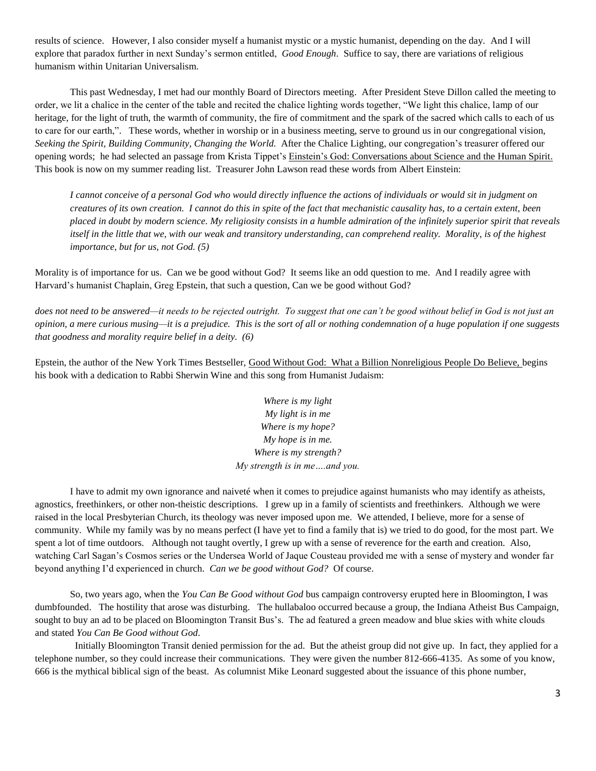results of science. However, I also consider myself a humanist mystic or a mystic humanist, depending on the day. And I will explore that paradox further in next Sunday's sermon entitled, *Good Enough*. Suffice to say, there are variations of religious humanism within Unitarian Universalism.

This past Wednesday, I met had our monthly Board of Directors meeting. After President Steve Dillon called the meeting to order, we lit a chalice in the center of the table and recited the chalice lighting words together, "We light this chalice, lamp of our heritage, for the light of truth, the warmth of community, the fire of commitment and the spark of the sacred which calls to each of us to care for our earth,". These words, whether in worship or in a business meeting, serve to ground us in our congregational vision, *Seeking the Spirit, Building Community, Changing the World.* After the Chalice Lighting, our congregation's treasurer offered our opening words; he had selected an passage from Krista Tippet's Einstein's God: Conversations about Science and the Human Spirit. This book is now on my summer reading list. Treasurer John Lawson read these words from Albert Einstein:

*I cannot conceive of a personal God who would directly influence the actions of individuals or would sit in judgment on creatures of its own creation. I cannot do this in spite of the fact that mechanistic causality has, to a certain extent, been placed in doubt by modern science. My religiosity consists in a humble admiration of the infinitely superior spirit that reveals itself in the little that we, with our weak and transitory understanding, can comprehend reality. Morality, is of the highest importance, but for us, not God. (5)*

Morality is of importance for us. Can we be good without God? It seems like an odd question to me. And I readily agree with Harvard's humanist Chaplain, Greg Epstein, that such a question, Can we be good without God?

*does not need to be answered—it needs to be rejected outright. To suggest that one can't be good without belief in God is not just an opinion, a mere curious musing—it is a prejudice. This is the sort of all or nothing condemnation of a huge population if one suggests that goodness and morality require belief in a deity. (6)* 

Epstein, the author of the New York Times Bestseller, Good Without God: What a Billion Nonreligious People Do Believe, begins his book with a dedication to Rabbi Sherwin Wine and this song from Humanist Judaism:

> *Where is my light My light is in me Where is my hope? My hope is in me. Where is my strength? My strength is in me….and you.*

I have to admit my own ignorance and naiveté when it comes to prejudice against humanists who may identify as atheists, agnostics, freethinkers, or other non-theistic descriptions. I grew up in a family of scientists and freethinkers. Although we were raised in the local Presbyterian Church, its theology was never imposed upon me. We attended, I believe, more for a sense of community. While my family was by no means perfect (I have yet to find a family that is) we tried to do good, for the most part. We spent a lot of time outdoors. Although not taught overtly, I grew up with a sense of reverence for the earth and creation. Also, watching Carl Sagan's Cosmos series or the Undersea World of Jaque Cousteau provided me with a sense of mystery and wonder far beyond anything I'd experienced in church. *Can we be good without God?* Of course.

So, two years ago, when the *You Can Be Good without God* bus campaign controversy erupted here in Bloomington, I was dumbfounded. The hostility that arose was disturbing. The hullabaloo occurred because a group, the Indiana Atheist Bus Campaign, sought to buy an ad to be placed on Bloomington Transit Bus's. The ad featured a green meadow and blue skies with white clouds and stated *You Can Be Good without God.* 

Initially Bloomington Transit denied permission for the ad. But the atheist group did not give up. In fact, they applied for a telephone number, so they could increase their communications. They were given the number 812-666-4135. As some of you know, 666 is the mythical biblical sign of the beast. As columnist Mike Leonard suggested about the issuance of this phone number,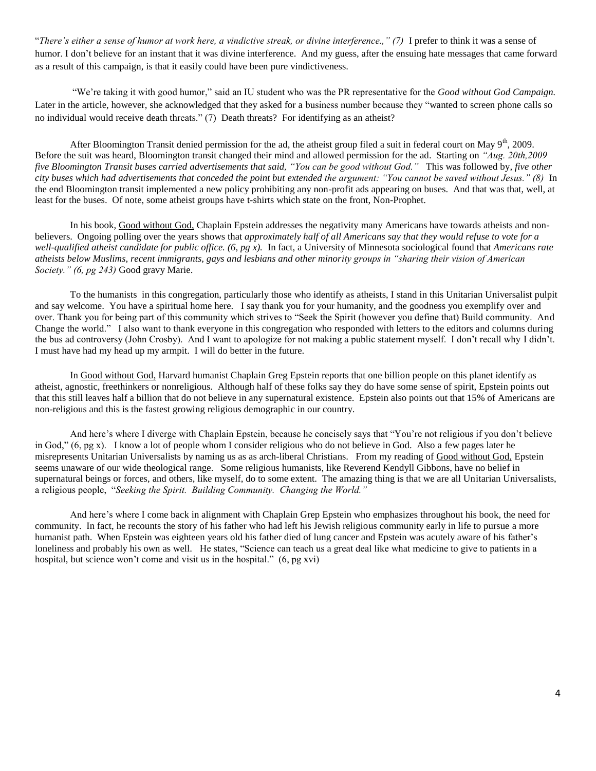"*There's either a sense of humor at work here, a vindictive streak, or divine interference.," (7)* I prefer to think it was a sense of humor. I don't believe for an instant that it was divine interference. And my guess, after the ensuing hate messages that came forward as a result of this campaign, is that it easily could have been pure vindictiveness.

"We're taking it with good humor," said an IU student who was the PR representative for the *Good without God Campaign.* Later in the article, however, she acknowledged that they asked for a business number because they "wanted to screen phone calls so no individual would receive death threats." (7) Death threats? For identifying as an atheist?

After Bloomington Transit denied permission for the ad, the atheist group filed a suit in federal court on May  $9<sup>th</sup>$ , 2009. Before the suit was heard, Bloomington transit changed their mind and allowed permission for the ad. Starting on *"Aug. 20th,2009 five Bloomington Transit buses carried advertisements that said, "You can be good without God."* This was followed by*, five other city buses which had advertisements that conceded the point but extended the argument: "You cannot be saved without Jesus." (8)* In the end Bloomington transit implemented a new policy prohibiting any non-profit ads appearing on buses. And that was that, well, at least for the buses. Of note, some atheist groups have t-shirts which state on the front, Non-Prophet.

In his book, Good without God, Chaplain Epstein addresses the negativity many Americans have towards atheists and nonbelievers. Ongoing polling over the years shows that *approximately half of all Americans say that they would refuse to vote for a well-qualified atheist candidate for public office. (6, pg x).* In fact, a University of Minnesota sociological found that *Americans rate atheists below Muslims, recent immigrants, gays and lesbians and other minority groups in "sharing their vision of American Society." (6, pg 243)* Good gravy Marie.

To the humanists in this congregation, particularly those who identify as atheists, I stand in this Unitarian Universalist pulpit and say welcome. You have a spiritual home here. I say thank you for your humanity, and the goodness you exemplify over and over. Thank you for being part of this community which strives to "Seek the Spirit (however you define that) Build community. And Change the world." I also want to thank everyone in this congregation who responded with letters to the editors and columns during the bus ad controversy (John Crosby). And I want to apologize for not making a public statement myself. I don't recall why I didn't. I must have had my head up my armpit. I will do better in the future.

In Good without God, Harvard humanist Chaplain Greg Epstein reports that one billion people on this planet identify as atheist, agnostic, freethinkers or nonreligious. Although half of these folks say they do have some sense of spirit, Epstein points out that this still leaves half a billion that do not believe in any supernatural existence. Epstein also points out that 15% of Americans are non-religious and this is the fastest growing religious demographic in our country.

And here's where I diverge with Chaplain Epstein, because he concisely says that "You're not religious if you don't believe in God," (6, pg x). I know a lot of people whom I consider religious who do not believe in God. Also a few pages later he misrepresents Unitarian Universalists by naming us as as arch-liberal Christians. From my reading of Good without God, Epstein seems unaware of our wide theological range. Some religious humanists, like Reverend Kendyll Gibbons, have no belief in supernatural beings or forces, and others, like myself, do to some extent. The amazing thing is that we are all Unitarian Universalists, a religious people, "*Seeking the Spirit. Building Community. Changing the World."*

And here's where I come back in alignment with Chaplain Grep Epstein who emphasizes throughout his book, the need for community. In fact, he recounts the story of his father who had left his Jewish religious community early in life to pursue a more humanist path. When Epstein was eighteen years old his father died of lung cancer and Epstein was acutely aware of his father's loneliness and probably his own as well. He states, "Science can teach us a great deal like what medicine to give to patients in a hospital, but science won't come and visit us in the hospital." (6, pg xvi)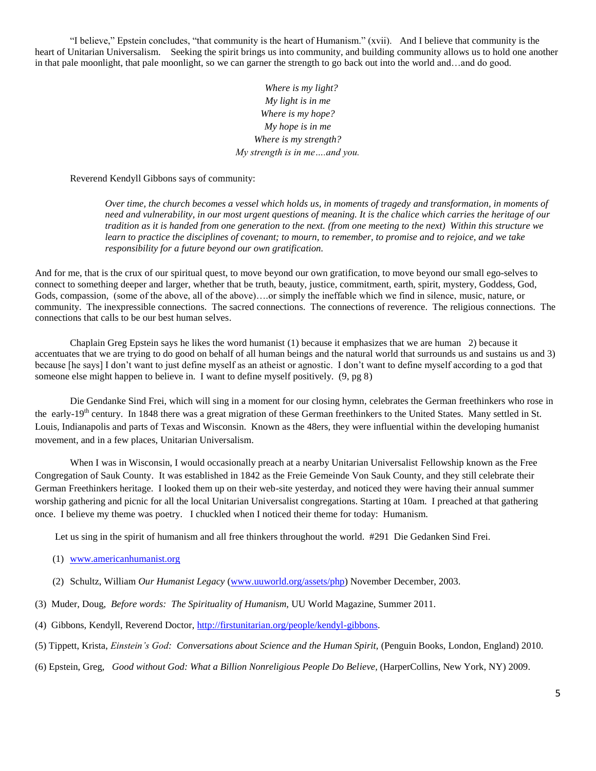"I believe," Epstein concludes, "that community is the heart of Humanism." (xvii). And I believe that community is the heart of Unitarian Universalism. Seeking the spirit brings us into community, and building community allows us to hold one another in that pale moonlight, that pale moonlight, so we can garner the strength to go back out into the world and…and do good.

> *Where is my light? My light is in me Where is my hope? My hope is in me Where is my strength? My strength is in me….and you.*

Reverend Kendyll Gibbons says of community:

*Over time, the church becomes a vessel which holds us, in moments of tragedy and transformation, in moments of need and vulnerability, in our most urgent questions of meaning. It is the chalice which carries the heritage of our tradition as it is handed from one generation to the next. (from one meeting to the next) Within this structure we learn to practice the disciplines of covenant; to mourn, to remember, to promise and to rejoice, and we take responsibility for a future beyond our own gratification.*

And for me, that is the crux of our spiritual quest, to move beyond our own gratification, to move beyond our small ego-selves to connect to something deeper and larger, whether that be truth, beauty, justice, commitment, earth, spirit, mystery, Goddess, God, Gods, compassion, (some of the above, all of the above)….or simply the ineffable which we find in silence, music, nature, or community. The inexpressible connections. The sacred connections. The connections of reverence. The religious connections. The connections that calls to be our best human selves.

Chaplain Greg Epstein says he likes the word humanist (1) because it emphasizes that we are human 2) because it accentuates that we are trying to do good on behalf of all human beings and the natural world that surrounds us and sustains us and 3) because [he says] I don't want to just define myself as an atheist or agnostic. I don't want to define myself according to a god that someone else might happen to believe in. I want to define myself positively. (9, pg 8)

Die Gendanke Sind Frei, which will sing in a moment for our closing hymn, celebrates the German freethinkers who rose in the early-19<sup>th</sup> century. In 1848 there was a great migration of these German freethinkers to the United States. Many settled in St. Louis, Indianapolis and parts of Texas and Wisconsin. Known as the 48ers, they were influential within the developing humanist movement, and in a few places, Unitarian Universalism.

When I was in Wisconsin, I would occasionally preach at a nearby Unitarian Universalist Fellowship known as the Free Congregation of Sauk County. It was established in 1842 as the Freie Gemeinde Von Sauk County, and they still celebrate their German Freethinkers heritage. I looked them up on their web-site yesterday, and noticed they were having their annual summer worship gathering and picnic for all the local Unitarian Universalist congregations. Starting at 10am. I preached at that gathering once. I believe my theme was poetry. I chuckled when I noticed their theme for today: Humanism.

Let us sing in the spirit of humanism and all free thinkers throughout the world. #291 Die Gedanken Sind Frei.

- (1) [www.americanhumanist.org](http://www.americanhumanist.org/)
- (2) Schultz, William *Our Humanist Legacy* [\(www.uuworld.org/assets/php\)](http://www.uuworld.org/assets/php) November December, 2003.
- (3) Muder, Doug, *Before words: The Spirituality of Humanism,* UU World Magazine, Summer 2011.
- (4) Gibbons, Kendyll, Reverend Doctor, [http://firstunitarian.org/people/kendyl-gibbons.](http://firstunitarian.org/people/kendyl-gibbons)
- (5) Tippett, Krista, *Einstein's God: Conversations about Science and the Human Spirit,* (Penguin Books, London, England) 2010.
- (6) Epstein, Greg, *Good without God: What a Billion Nonreligious People Do Believe,* (HarperCollins, New York, NY) 2009.